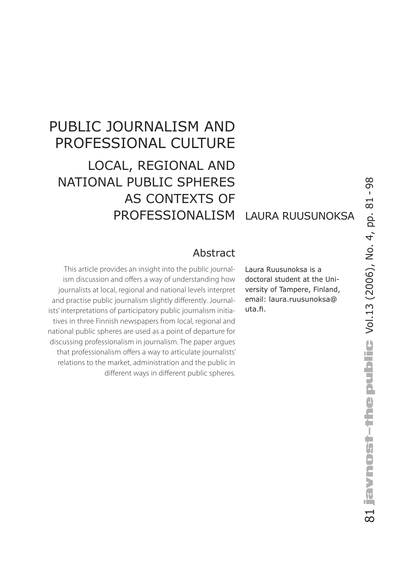# Public Journalism and Professional Culture Local, regional and national public spheres as contexts of professionalism Laura Ruusunoksa

#### Abstract

This article provides an insight into the public journalism discussion and offers a way of understanding how journalists at local, regional and national levels interpret and practise public journalism slightly differently. Journalists' interpretations of participatory public journalism initiatives in three Finnish newspapers from local, regional and national public spheres are used as a point of departure for discussing professionalism in journalism. The paper argues that professionalism offers a way to articulate journalists' relations to the market, administration and the public in different ways in different public spheres.

Laura Ruusunoksa is a doctoral student at the University of Tampere, Finland, email: laura.ruusunoksa@ uta.fi.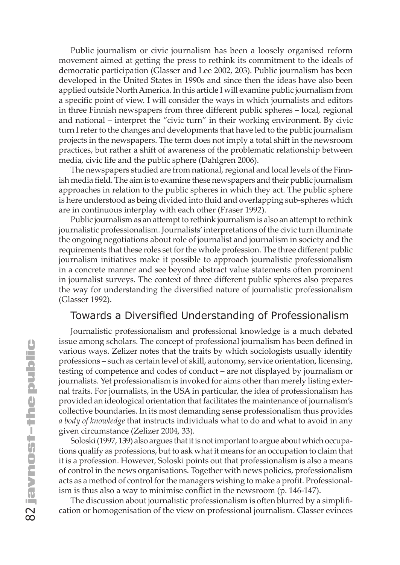Public journalism or civic journalism has been a loosely organised reform movement aimed at getting the press to rethink its commitment to the ideals of democratic participation (Glasser and Lee 2002, 203). Public journalism has been developed in the United States in 1990s and since then the ideas have also been applied outside North America. In this article I will examine public journalism from a specific point of view. I will consider the ways in which journalists and editors in three Finnish newspapers from three different public spheres – local, regional and national – interpret the "civic turn" in their working environment. By civic turn I refer to the changes and developments that have led to the public journalism projects in the newspapers. The term does not imply a total shift in the newsroom practices, but rather a shift of awareness of the problematic relationship between media, civic life and the public sphere (Dahlgren 2006).

The newspapers studied are from national, regional and local levels of the Finnish media field. The aim is to examine these newspapers and their public journalism approaches in relation to the public spheres in which they act. The public sphere is here understood as being divided into fluid and overlapping sub-spheres which are in continuous interplay with each other (Fraser 1992).

Public journalism as an attempt to rethink journalism is also an attempt to rethink journalistic professionalism. Journalists' interpretations of the civic turn illuminate the ongoing negotiations about role of journalist and journalism in society and the requirements that these roles set for the whole profession. The three different public journalism initiatives make it possible to approach journalistic professionalism in a concrete manner and see beyond abstract value statements often prominent in journalist surveys. The context of three different public spheres also prepares the way for understanding the diversified nature of journalistic professionalism (Glasser 1992).

#### Towards a Diversified Understanding of Professionalism

Journalistic professionalism and professional knowledge is a much debated issue among scholars. The concept of professional journalism has been defined in various ways. Zelizer notes that the traits by which sociologists usually identify professions – such as certain level of skill, autonomy, service orientation, licensing, testing of competence and codes of conduct – are not displayed by journalism or journalists. Yet professionalism is invoked for aims other than merely listing external traits. For journalists, in the USA in particular, the idea of professionalism has provided an ideological orientation that facilitates the maintenance of journalism's collective boundaries. In its most demanding sense professionalism thus provides *a body of knowledge* that instructs individuals what to do and what to avoid in any given circumstance (Zelizer 2004, 33).

Soloski (1997, 139) also argues that it is not important to argue about which occupations qualify as professions, but to ask what it means for an occupation to claim that it is a profession. However, Soloski points out that professionalism is also a means of control in the news organisations. Together with news policies, professionalism acts as a method of control for the managers wishing to make a profit. Professionalism is thus also a way to minimise conflict in the newsroom (p. 146-147).

The discussion about journalistic professionalism is often blurred by a simplification or homogenisation of the view on professional journalism. Glasser evinces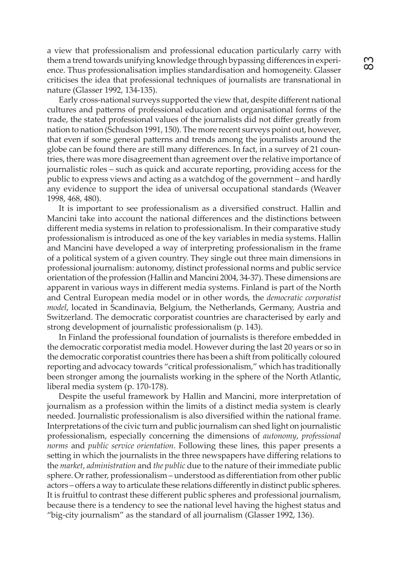a view that professionalism and professional education particularly carry with them a trend towards unifying knowledge through bypassing differences in experience. Thus professionalisation implies standardisation and homogeneity. Glasser criticises the idea that professional techniques of journalists are transnational in nature (Glasser 1992, 134-135).

Early cross-national surveys supported the view that, despite different national cultures and patterns of professional education and organisational forms of the trade, the stated professional values of the journalists did not differ greatly from nation to nation (Schudson 1991, 150). The more recent surveys point out, however, that even if some general patterns and trends among the journalists around the globe can be found there are still many differences. In fact, in a survey of 21 countries, there was more disagreement than agreement over the relative importance of journalistic roles – such as quick and accurate reporting, providing access for the public to express views and acting as a watchdog of the government – and hardly any evidence to support the idea of universal occupational standards (Weaver 1998, 468, 480).

It is important to see professionalism as a diversified construct. Hallin and Mancini take into account the national differences and the distinctions between different media systems in relation to professionalism. In their comparative study professionalism is introduced as one of the key variables in media systems. Hallin and Mancini have developed a way of interpreting professionalism in the frame of a political system of a given country. They single out three main dimensions in professional journalism: autonomy, distinct professional norms and public service orientation of the profession (Hallin and Mancini 2004, 34-37). These dimensions are apparent in various ways in different media systems. Finland is part of the North and Central European media model or in other words, the *democratic corporatist model*, located in Scandinavia, Belgium, the Netherlands, Germany, Austria and Switzerland. The democratic corporatist countries are characterised by early and strong development of journalistic professionalism (p. 143).

In Finland the professional foundation of journalists is therefore embedded in the democratic corporatist media model. However during the last 20 years or so in the democratic corporatist countries there has been a shift from politically coloured reporting and advocacy towards "critical professionalism," which has traditionally been stronger among the journalists working in the sphere of the North Atlantic, liberal media system (p. 170-178).

Despite the useful framework by Hallin and Mancini, more interpretation of journalism as a profession within the limits of a distinct media system is clearly needed. Journalistic professionalism is also diversified within the national frame. Interpretations of the civic turn and public journalism can shed light on journalistic professionalism, especially concerning the dimensions of *autonomy*, *professional norms* and *public service orientation*. Following these lines, this paper presents a setting in which the journalists in the three newspapers have differing relations to the *market*, *administration* and *the public* due to the nature of their immediate public sphere. Or rather, professionalism – understood as differentiation from other public actors – offers a way to articulate these relations differently in distinct public spheres. It is fruitful to contrast these different public spheres and professional journalism, because there is a tendency to see the national level having the highest status and "big-city journalism" as the standard of all journalism (Glasser 1992, 136).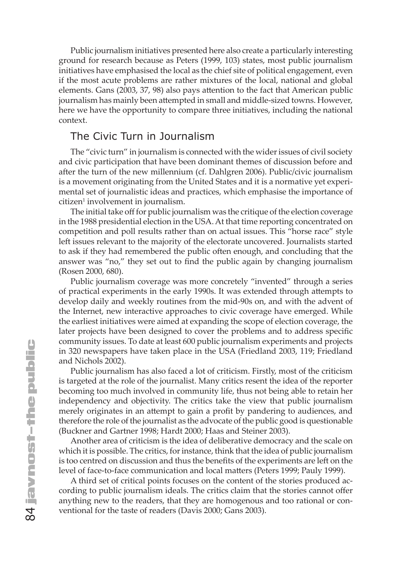Public journalism initiatives presented here also create a particularly interesting ground for research because as Peters (1999, 103) states, most public journalism initiatives have emphasised the local as the chief site of political engagement, even if the most acute problems are rather mixtures of the local, national and global elements. Gans (2003, 37, 98) also pays attention to the fact that American public journalism has mainly been attempted in small and middle-sized towns. However, here we have the opportunity to compare three initiatives, including the national context.

#### The Civic Turn in Journalism

The "civic turn" in journalism is connected with the wider issues of civil society and civic participation that have been dominant themes of discussion before and after the turn of the new millennium (cf. Dahlgren 2006). Public/civic journalism is a movement originating from the United States and it is a normative yet experimental set of journalistic ideas and practices, which emphasise the importance of citizen<sup>1</sup> involvement in journalism.

The initial take off for public journalism was the critique of the election coverage in the 1988 presidential election in the USA. At that time reporting concentrated on competition and poll results rather than on actual issues. This "horse race" style left issues relevant to the majority of the electorate uncovered. Journalists started to ask if they had remembered the public often enough, and concluding that the answer was "no," they set out to find the public again by changing journalism (Rosen 2000, 680).

Public journalism coverage was more concretely "invented" through a series of practical experiments in the early 1990s. It was extended through attempts to develop daily and weekly routines from the mid-90s on, and with the advent of the Internet, new interactive approaches to civic coverage have emerged. While the earliest initiatives were aimed at expanding the scope of election coverage, the later projects have been designed to cover the problems and to address specific community issues. To date at least 600 public journalism experiments and projects in 320 newspapers have taken place in the USA (Friedland 2003, 119; Friedland and Nichols 2002).

Public journalism has also faced a lot of criticism. Firstly, most of the criticism is targeted at the role of the journalist. Many critics resent the idea of the reporter becoming too much involved in community life, thus not being able to retain her independency and objectivity. The critics take the view that public journalism merely originates in an attempt to gain a profit by pandering to audiences, and therefore the role of the journalist as the advocate of the public good is questionable (Buckner and Gartner 1998; Hardt 2000; Haas and Steiner 2003).

Another area of criticism is the idea of deliberative democracy and the scale on which it is possible. The critics, for instance, think that the idea of public journalism is too centred on discussion and thus the benefits of the experiments are left on the level of face-to-face communication and local matters (Peters 1999; Pauly 1999).

A third set of critical points focuses on the content of the stories produced according to public journalism ideals. The critics claim that the stories cannot offer anything new to the readers, that they are homogenous and too rational or conventional for the taste of readers (Davis 2000; Gans 2003).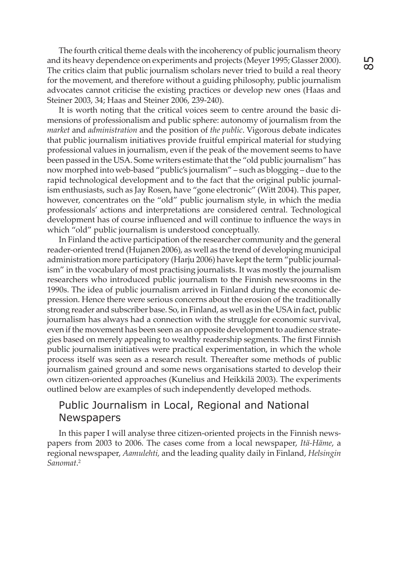The fourth critical theme deals with the incoherency of public journalism theory and its heavy dependence on experiments and projects (Meyer 1995; Glasser 2000). The critics claim that public journalism scholars never tried to build a real theory for the movement, and therefore without a guiding philosophy, public journalism advocates cannot criticise the existing practices or develop new ones (Haas and Steiner 2003, 34; Haas and Steiner 2006, 239-240).

It is worth noting that the critical voices seem to centre around the basic dimensions of professionalism and public sphere: autonomy of journalism from the *market* and *administration* and the position of *the public*. Vigorous debate indicates that public journalism initiatives provide fruitful empirical material for studying professional values in journalism, even if the peak of the movement seems to have been passed in the USA. Some writers estimate that the "old public journalism" has now morphed into web-based "public's journalism" – such as blogging – due to the rapid technological development and to the fact that the original public journalism enthusiasts, such as Jay Rosen, have "gone electronic" (Witt 2004). This paper, however, concentrates on the "old" public journalism style, in which the media professionals' actions and interpretations are considered central. Technological development has of course influenced and will continue to influence the ways in which "old" public journalism is understood conceptually.

In Finland the active participation of the researcher community and the general reader-oriented trend (Hujanen 2006), as well as the trend of developing municipal administration more participatory (Harju 2006) have kept the term "public journalism" in the vocabulary of most practising journalists. It was mostly the journalism researchers who introduced public journalism to the Finnish newsrooms in the 1990s. The idea of public journalism arrived in Finland during the economic depression. Hence there were serious concerns about the erosion of the traditionally strong reader and subscriber base. So, in Finland, as well as in the USA in fact, public journalism has always had a connection with the struggle for economic survival, even if the movement has been seen as an opposite development to audience strategies based on merely appealing to wealthy readership segments. The first Finnish public journalism initiatives were practical experimentation, in which the whole process itself was seen as a research result. Thereafter some methods of public journalism gained ground and some news organisations started to develop their own citizen-oriented approaches (Kunelius and Heikkilä 2003). The experiments outlined below are examples of such independently developed methods.

#### Public Journalism in Local, Regional and National **Newspapers**

In this paper I will analyse three citizen-oriented projects in the Finnish newspapers from 2003 to 2006. The cases come from a local newspaper, *Itä-Häme*, a regional newspaper, *Aamulehti,* and the leading quality daily in Finland, *Helsingin Sanomat*. 2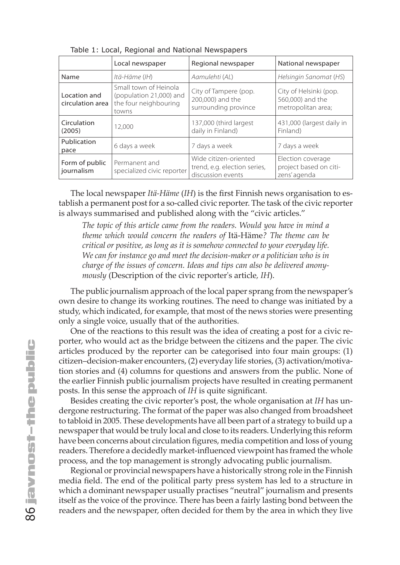|                                  | Local newspaper                                                                    | Regional newspaper                                                         | National newspaper                                               |
|----------------------------------|------------------------------------------------------------------------------------|----------------------------------------------------------------------------|------------------------------------------------------------------|
| Name                             | Itä-Häme (IH)                                                                      | Aamulehti (AL)                                                             | Helsingin Sanomat (HS)                                           |
| Location and<br>circulation area | Small town of Heinola<br>(population 21,000) and<br>the four neighbouring<br>towns | City of Tampere (pop.<br>200,000) and the<br>surrounding province          | City of Helsinki (pop.<br>560,000) and the<br>metropolitan area; |
| Circulation<br>(2005)            | 12.000                                                                             | 137,000 (third largest<br>daily in Finland)                                | 431,000 (largest daily in<br>Finland)                            |
| Publication<br>pace              | 6 days a week                                                                      | 7 days a week                                                              | 7 days a week                                                    |
| Form of public<br>journalism     | Permanent and<br>specialized civic reporter                                        | Wide citizen-oriented<br>trend, e.g. election series,<br>discussion events | Election coverage<br>project based on citi-<br>zens' agenda      |

Table 1: Local, Regional and National Newspapers

The local newspaper *Itä-Häme* (*IH*) is the first Finnish news organisation to establish a permanent post for a so-called civic reporter. The task of the civic reporter is always summarised and published along with the "civic articles."

*The topic of this article came from the readers. Would you have in mind a theme which would concern the readers of* Itä-Häme*? The theme can be critical or positive, as long as it is somehow connected to your everyday life. We can for instance go and meet the decision-maker or a politician who is in charge of the issues of concern. Ideas and tips can also be delivered anonymously* (Description of the civic reporter's article*, IH*).

The public journalism approach of the local paper sprang from the newspaper's own desire to change its working routines. The need to change was initiated by a study, which indicated, for example, that most of the news stories were presenting only a single voice, usually that of the authorities.

One of the reactions to this result was the idea of creating a post for a civic reporter, who would act as the bridge between the citizens and the paper. The civic articles produced by the reporter can be categorised into four main groups: (1) citizen–decision-maker encounters, (2) everyday life stories, (3) activation/motivation stories and (4) columns for questions and answers from the public. None of the earlier Finnish public journalism projects have resulted in creating permanent posts. In this sense the approach of *IH* is quite significant.

Besides creating the civic reporter's post, the whole organisation at *IH* has undergone restructuring. The format of the paper was also changed from broadsheet to tabloid in 2005. These developments have all been part of a strategy to build up a newspaper that would be truly local and close to its readers. Underlying this reform have been concerns about circulation figures, media competition and loss of young readers. Therefore a decidedly market-influenced viewpoint has framed the whole process, and the top management is strongly advocating public journalism.

Regional or provincial newspapers have a historically strong role in the Finnish media field. The end of the political party press system has led to a structure in which a dominant newspaper usually practises "neutral" journalism and presents itself as the voice of the province. There has been a fairly lasting bond between the readers and the newspaper, often decided for them by the area in which they live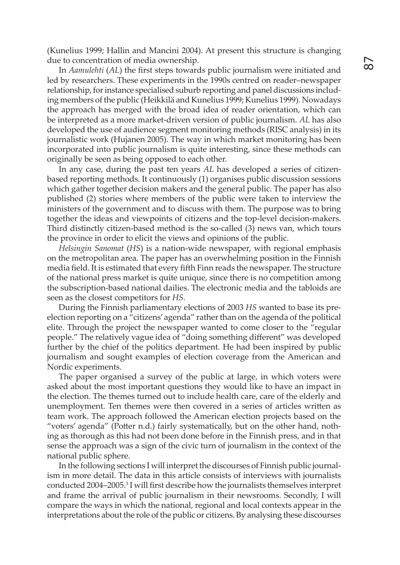(Kunelius 1999; Hallin and Mancini 2004). At present this structure is changing due to concentration of media ownership.

In *Aamulehti* (*AL*) the first steps towards public journalism were initiated and led by researchers. These experiments in the 1990s centred on reader–newspaper relationship, for instance specialised suburb reporting and panel discussions including members of the public (Heikkilä and Kunelius 1999; Kunelius 1999). Nowadays the approach has merged with the broad idea of reader orientation, which can be interpreted as a more market-driven version of public journalism. *AL* has also developed the use of audience segment monitoring methods (RISC analysis) in its journalistic work (Hujanen 2005). The way in which market monitoring has been incorporated into public journalism is quite interesting, since these methods can originally be seen as being opposed to each other.

In any case, during the past ten years *AL* has developed a series of citizenbased reporting methods. It continuously (1) organises public discussion sessions which gather together decision makers and the general public. The paper has also published (2) stories where members of the public were taken to interview the ministers of the government and to discuss with them. The purpose was to bring together the ideas and viewpoints of citizens and the top-level decision-makers. Third distinctly citizen-based method is the so-called (3) news van, which tours the province in order to elicit the views and opinions of the public.

*Helsingin Sanomat* (*HS*) is a nation-wide newspaper, with regional emphasis on the metropolitan area. The paper has an overwhelming position in the Finnish media field. It is estimated that every fifth Finn reads the newspaper. The structure of the national press market is quite unique, since there is no competition among the subscription-based national dailies. The electronic media and the tabloids are seen as the closest competitors for *HS*.

During the Finnish parliamentary elections of 2003 *HS* wanted to base its preelection reporting on a "citizens' agenda" rather than on the agenda of the political elite. Through the project the newspaper wanted to come closer to the "regular people." The relatively vague idea of "doing something different" was developed further by the chief of the politics department. He had been inspired by public journalism and sought examples of election coverage from the American and Nordic experiments.

The paper organised a survey of the public at large, in which voters were asked about the most important questions they would like to have an impact in the election. The themes turned out to include health care, care of the elderly and unemployment. Ten themes were then covered in a series of articles written as team work. The approach followed the American election projects based on the "voters' agenda" (Potter n.d.) fairly systematically, but on the other hand, nothing as thorough as this had not been done before in the Finnish press, and in that sense the approach was a sign of the civic turn of journalism in the context of the national public sphere.

In the following sections I will interpret the discourses of Finnish public journalism in more detail. The data in this article consists of interviews with journalists conducted 2004–2005.3 I will first describe how the journalists themselves interpret and frame the arrival of public journalism in their newsrooms. Secondly, I will compare the ways in which the national, regional and local contexts appear in the interpretations about the role of the public or citizens. By analysing these discourses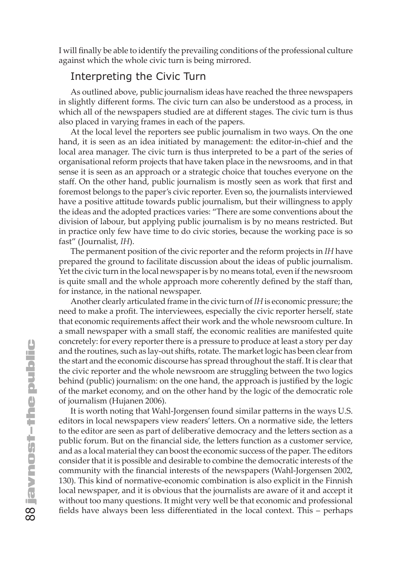I will finally be able to identify the prevailing conditions of the professional culture against which the whole civic turn is being mirrored.

#### Interpreting the Civic Turn

As outlined above, public journalism ideas have reached the three newspapers in slightly different forms. The civic turn can also be understood as a process, in which all of the newspapers studied are at different stages. The civic turn is thus also placed in varying frames in each of the papers.

At the local level the reporters see public journalism in two ways. On the one hand, it is seen as an idea initiated by management: the editor-in-chief and the local area manager. The civic turn is thus interpreted to be a part of the series of organisational reform projects that have taken place in the newsrooms, and in that sense it is seen as an approach or a strategic choice that touches everyone on the staff. On the other hand, public journalism is mostly seen as work that first and foremost belongs to the paper's civic reporter. Even so, the journalists interviewed have a positive attitude towards public journalism, but their willingness to apply the ideas and the adopted practices varies: "There are some conventions about the division of labour, but applying public journalism is by no means restricted. But in practice only few have time to do civic stories, because the working pace is so fast" (Journalist, *IH*).

The permanent position of the civic reporter and the reform projects in *IH* have prepared the ground to facilitate discussion about the ideas of public journalism. Yet the civic turn in the local newspaper is by no means total, even if the newsroom is quite small and the whole approach more coherently defined by the staff than, for instance, in the national newspaper.

Another clearly articulated frame in the civic turn of *IH* is economic pressure; the need to make a profit. The interviewees, especially the civic reporter herself, state that economic requirements affect their work and the whole newsroom culture. In a small newspaper with a small staff, the economic realities are manifested quite concretely: for every reporter there is a pressure to produce at least a story per day and the routines, such as lay-out shifts, rotate. The market logic has been clear from the start and the economic discourse has spread throughout the staff. It is clear that the civic reporter and the whole newsroom are struggling between the two logics behind (public) journalism: on the one hand, the approach is justified by the logic of the market economy, and on the other hand by the logic of the democratic role of journalism (Hujanen 2006).

It is worth noting that Wahl-Jorgensen found similar patterns in the ways U.S. editors in local newspapers view readers' letters. On a normative side, the letters to the editor are seen as part of deliberative democracy and the letters section as a public forum. But on the financial side, the letters function as a customer service, and as a local material they can boost the economic success of the paper. The editors consider that it is possible and desirable to combine the democratic interests of the community with the financial interests of the newspapers (Wahl-Jorgensen 2002, 130). This kind of normative-economic combination is also explicit in the Finnish local newspaper, and it is obvious that the journalists are aware of it and accept it without too many questions. It might very well be that economic and professional fields have always been less differentiated in the local context. This – perhaps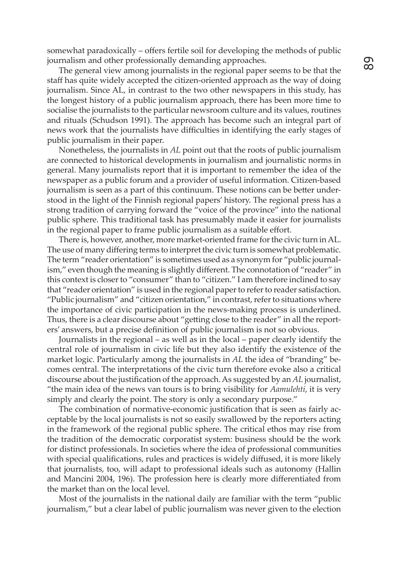somewhat paradoxically – offers fertile soil for developing the methods of public journalism and other professionally demanding approaches.

The general view among journalists in the regional paper seems to be that the staff has quite widely accepted the citizen-oriented approach as the way of doing journalism. Since AL, in contrast to the two other newspapers in this study, has the longest history of a public journalism approach, there has been more time to socialise the journalists to the particular newsroom culture and its values, routines and rituals (Schudson 1991). The approach has become such an integral part of news work that the journalists have difficulties in identifying the early stages of public journalism in their paper.

Nonetheless, the journalists in *AL* point out that the roots of public journalism are connected to historical developments in journalism and journalistic norms in general. Many journalists report that it is important to remember the idea of the newspaper as a public forum and a provider of useful information. Citizen-based journalism is seen as a part of this continuum. These notions can be better understood in the light of the Finnish regional papers' history. The regional press has a strong tradition of carrying forward the "voice of the province" into the national public sphere. This traditional task has presumably made it easier for journalists in the regional paper to frame public journalism as a suitable effort.

There is, however, another, more market-oriented frame for the civic turn in AL. The use of many differing terms to interpret the civic turn is somewhat problematic. The term "reader orientation" is sometimes used as a synonym for "public journalism," even though the meaning is slightly different. The connotation of "reader" in this context is closer to "consumer" than to "citizen." I am therefore inclined to say that "reader orientation" is used in the regional paper to refer to reader satisfaction. "Public journalism" and "citizen orientation," in contrast, refer to situations where the importance of civic participation in the news-making process is underlined. Thus, there is a clear discourse about "getting close to the reader" in all the reporters' answers, but a precise definition of public journalism is not so obvious.

Journalists in the regional – as well as in the local – paper clearly identify the central role of journalism in civic life but they also identify the existence of the market logic. Particularly among the journalists in *AL* the idea of "branding" becomes central. The interpretations of the civic turn therefore evoke also a critical discourse about the justification of the approach. As suggested by an *AL* journalist, "the main idea of the news van tours is to bring visibility for *Aamulehti*, it is very simply and clearly the point. The story is only a secondary purpose."

The combination of normative-economic justification that is seen as fairly acceptable by the local journalists is not so easily swallowed by the reporters acting in the framework of the regional public sphere. The critical ethos may rise from the tradition of the democratic corporatist system: business should be the work for distinct professionals. In societies where the idea of professional communities with special qualifications, rules and practices is widely diffused, it is more likely that journalists, too, will adapt to professional ideals such as autonomy (Hallin and Mancini 2004, 196). The profession here is clearly more differentiated from the market than on the local level.

Most of the journalists in the national daily are familiar with the term "public journalism," but a clear label of public journalism was never given to the election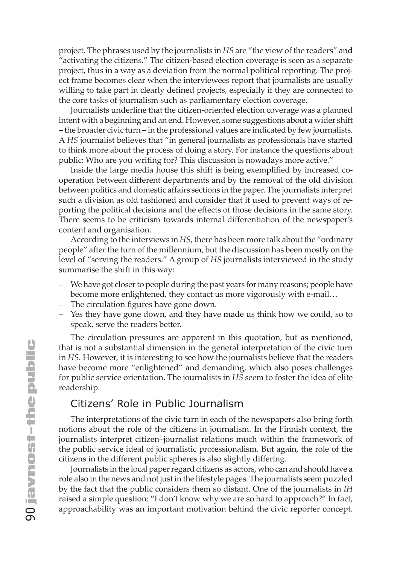project. The phrases used by the journalists in *HS* are "the view of the readers" and "activating the citizens." The citizen-based election coverage is seen as a separate project, thus in a way as a deviation from the normal political reporting. The project frame becomes clear when the interviewees report that journalists are usually willing to take part in clearly defined projects, especially if they are connected to the core tasks of journalism such as parliamentary election coverage.

Journalists underline that the citizen-oriented election coverage was a planned intent with a beginning and an end. However, some suggestions about a wider shift – the broader civic turn – in the professional values are indicated by few journalists. A *HS* journalist believes that "in general journalists as professionals have started to think more about the process of doing a story. For instance the questions about public: Who are you writing for? This discussion is nowadays more active."

Inside the large media house this shift is being exemplified by increased cooperation between different departments and by the removal of the old division between politics and domestic affairs sections in the paper. The journalists interpret such a division as old fashioned and consider that it used to prevent ways of reporting the political decisions and the effects of those decisions in the same story. There seems to be criticism towards internal differentiation of the newspaper's content and organisation.

According to the interviews in *HS*, there has been more talk about the "ordinary people" after the turn of the millennium, but the discussion has been mostly on the level of "serving the readers." A group of *HS* journalists interviewed in the study summarise the shift in this way:

- We have got closer to people during the past years for many reasons; people have become more enlightened, they contact us more vigorously with e-mail…
- The circulation figures have gone down.
- Yes they have gone down, and they have made us think how we could, so to speak, serve the readers better.

The circulation pressures are apparent in this quotation, but as mentioned, that is not a substantial dimension in the general interpretation of the civic turn in *HS*. However, it is interesting to see how the journalists believe that the readers have become more "enlightened" and demanding, which also poses challenges for public service orientation. The journalists in *HS* seem to foster the idea of elite readership.

#### Citizens' Role in Public Journalism

The interpretations of the civic turn in each of the newspapers also bring forth notions about the role of the citizens in journalism. In the Finnish context, the journalists interpret citizen–journalist relations much within the framework of the public service ideal of journalistic professionalism. But again, the role of the citizens in the different public spheres is also slightly differing.

Journalists in the local paper regard citizens as actors, who can and should have a role also in the news and not just in the lifestyle pages. The journalists seem puzzled by the fact that the public considers them so distant. One of the journalists in *IH* raised a simple question: "I don't know why we are so hard to approach?" In fact, approachability was an important motivation behind the civic reporter concept.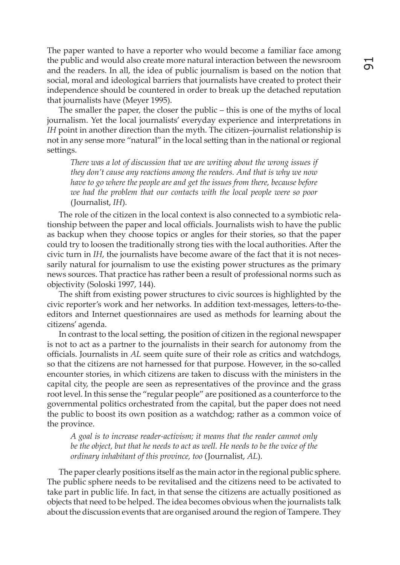The paper wanted to have a reporter who would become a familiar face among the public and would also create more natural interaction between the newsroom and the readers. In all, the idea of public journalism is based on the notion that social, moral and ideological barriers that journalists have created to protect their independence should be countered in order to break up the detached reputation that journalists have (Meyer 1995).

The smaller the paper, the closer the public – this is one of the myths of local journalism. Yet the local journalists' everyday experience and interpretations in *IH* point in another direction than the myth. The citizen–journalist relationship is not in any sense more "natural" in the local setting than in the national or regional settings.

*There was a lot of discussion that we are writing about the wrong issues if they don't cause any reactions among the readers. And that is why we now have to go where the people are and get the issues from there, because before we had the problem that our contacts with the local people were so poor*  (Journalist, *IH*).

The role of the citizen in the local context is also connected to a symbiotic relationship between the paper and local officials. Journalists wish to have the public as backup when they choose topics or angles for their stories, so that the paper could try to loosen the traditionally strong ties with the local authorities. After the civic turn in *IH*, the journalists have become aware of the fact that it is not necessarily natural for journalism to use the existing power structures as the primary news sources. That practice has rather been a result of professional norms such as objectivity (Soloski 1997, 144).

The shift from existing power structures to civic sources is highlighted by the civic reporter's work and her networks. In addition text-messages, letters-to-theeditors and Internet questionnaires are used as methods for learning about the citizens' agenda.

In contrast to the local setting, the position of citizen in the regional newspaper is not to act as a partner to the journalists in their search for autonomy from the officials. Journalists in *AL* seem quite sure of their role as critics and watchdogs, so that the citizens are not harnessed for that purpose. However, in the so-called encounter stories, in which citizens are taken to discuss with the ministers in the capital city, the people are seen as representatives of the province and the grass root level. In this sense the "regular people" are positioned as a counterforce to the governmental politics orchestrated from the capital, but the paper does not need the public to boost its own position as a watchdog; rather as a common voice of the province.

*A goal is to increase reader-activism; it means that the reader cannot only be the object, but that he needs to act as well. He needs to be the voice of the ordinary inhabitant of this province, too* (Journalist, *AL*).

The paper clearly positions itself as the main actor in the regional public sphere. The public sphere needs to be revitalised and the citizens need to be activated to take part in public life. In fact, in that sense the citizens are actually positioned as objects that need to be helped. The idea becomes obvious when the journalists talk about the discussion events that are organised around the region of Tampere. They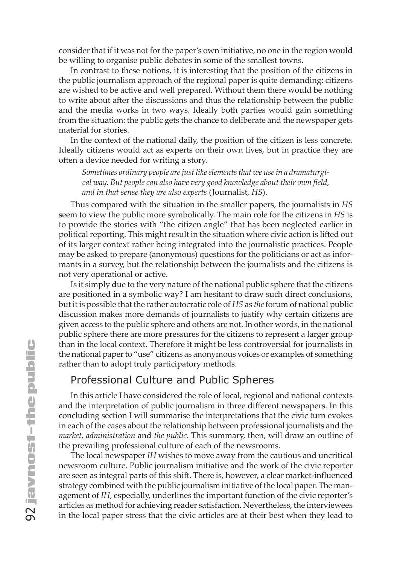consider that if it was not for the paper's own initiative, no one in the region would be willing to organise public debates in some of the smallest towns.

In contrast to these notions, it is interesting that the position of the citizens in the public journalism approach of the regional paper is quite demanding: citizens are wished to be active and well prepared. Without them there would be nothing to write about after the discussions and thus the relationship between the public and the media works in two ways. Ideally both parties would gain something from the situation: the public gets the chance to deliberate and the newspaper gets material for stories.

In the context of the national daily, the position of the citizen is less concrete. Ideally citizens would act as experts on their own lives, but in practice they are often a device needed for writing a story.

*Sometimes ordinary people are just like elements that we use in a dramaturgical way. But people can also have very good knowledge about their own field, and in that sense they are also experts* (Journalist, *HS*).

Thus compared with the situation in the smaller papers, the journalists in *HS* seem to view the public more symbolically. The main role for the citizens in *HS* is to provide the stories with "the citizen angle" that has been neglected earlier in political reporting. This might result in the situation where civic action is lifted out of its larger context rather being integrated into the journalistic practices. People may be asked to prepare (anonymous) questions for the politicians or act as informants in a survey, but the relationship between the journalists and the citizens is not very operational or active.

Is it simply due to the very nature of the national public sphere that the citizens are positioned in a symbolic way? I am hesitant to draw such direct conclusions, but it is possible that the rather autocratic role of *HS* as *the* forum of national public discussion makes more demands of journalists to justify why certain citizens are given access to the public sphere and others are not. In other words, in the national public sphere there are more pressures for the citizens to represent a larger group than in the local context. Therefore it might be less controversial for journalists in the national paper to "use" citizens as anonymous voices or examples of something rather than to adopt truly participatory methods.

## Professional Culture and Public Spheres

In this article I have considered the role of local, regional and national contexts and the interpretation of public journalism in three different newspapers. In this concluding section I will summarise the interpretations that the civic turn evokes in each of the cases about the relationship between professional journalists and the *market*, *administration* and *the public*. This summary, then, will draw an outline of the prevailing professional culture of each of the newsrooms.

The local newspaper *IH* wishes to move away from the cautious and uncritical newsroom culture. Public journalism initiative and the work of the civic reporter are seen as integral parts of this shift. There is, however, a clear market-influenced strategy combined with the public journalism initiative of the local paper. The management of *IH*, especially, underlines the important function of the civic reporter's articles as method for achieving reader satisfaction. Nevertheless, the interviewees in the local paper stress that the civic articles are at their best when they lead to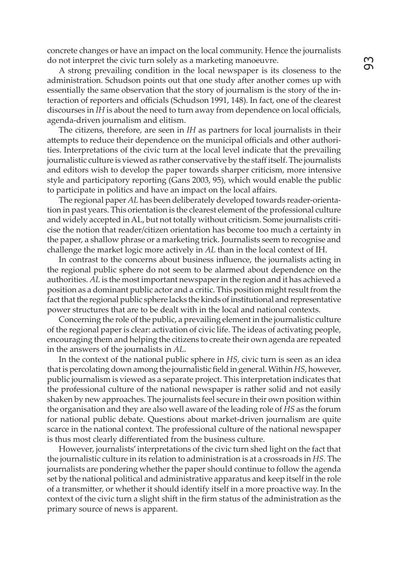concrete changes or have an impact on the local community. Hence the journalists do not interpret the civic turn solely as a marketing manoeuvre.

A strong prevailing condition in the local newspaper is its closeness to the administration. Schudson points out that one study after another comes up with essentially the same observation that the story of journalism is the story of the interaction of reporters and officials (Schudson 1991, 148). In fact, one of the clearest discourses in *IH* is about the need to turn away from dependence on local officials, agenda-driven journalism and elitism.

The citizens, therefore, are seen in *IH* as partners for local journalists in their attempts to reduce their dependence on the municipal officials and other authorities. Interpretations of the civic turn at the local level indicate that the prevailing journalistic culture is viewed as rather conservative by the staff itself. The journalists and editors wish to develop the paper towards sharper criticism, more intensive style and participatory reporting (Gans 2003, 95), which would enable the public to participate in politics and have an impact on the local affairs.

The regional paper *AL* has been deliberately developed towards reader-orientation in past years. This orientation is the clearest element of the professional culture and widely accepted in AL, but not totally without criticism. Some journalists criticise the notion that reader/citizen orientation has become too much a certainty in the paper, a shallow phrase or a marketing trick. Journalists seem to recognise and challenge the market logic more actively in *AL* than in the local context of IH.

In contrast to the concerns about business influence, the journalists acting in the regional public sphere do not seem to be alarmed about dependence on the authorities. *AL* is the most important newspaper in the region and it has achieved a position as a dominant public actor and a critic. This position might result from the fact that the regional public sphere lacks the kinds of institutional and representative power structures that are to be dealt with in the local and national contexts.

Concerning the role of the public, a prevailing element in the journalistic culture of the regional paper is clear: activation of civic life. The ideas of activating people, encouraging them and helping the citizens to create their own agenda are repeated in the answers of the journalists in *AL*.

In the context of the national public sphere in *HS*, civic turn is seen as an idea that is percolating down among the journalistic field in general. Within *HS*, however, public journalism is viewed as a separate project. This interpretation indicates that the professional culture of the national newspaper is rather solid and not easily shaken by new approaches. The journalists feel secure in their own position within the organisation and they are also well aware of the leading role of *HS* as the forum for national public debate. Questions about market-driven journalism are quite scarce in the national context. The professional culture of the national newspaper is thus most clearly differentiated from the business culture.

However, journalists' interpretations of the civic turn shed light on the fact that the journalistic culture in its relation to administration is at a crossroads in *HS*. The journalists are pondering whether the paper should continue to follow the agenda set by the national political and administrative apparatus and keep itself in the role of a transmitter, or whether it should identify itself in a more proactive way. In the context of the civic turn a slight shift in the firm status of the administration as the primary source of news is apparent.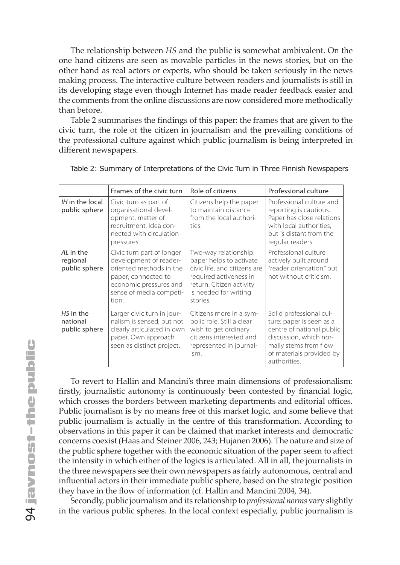The relationship between *HS* and the public is somewhat ambivalent. On the one hand citizens are seen as movable particles in the news stories, but on the other hand as real actors or experts, who should be taken seriously in the news making process. The interactive culture between readers and journalists is still in its developing stage even though Internet has made reader feedback easier and the comments from the online discussions are now considered more methodically than before.

Table 2 summarises the findings of this paper: the frames that are given to the civic turn, the role of the citizen in journalism and the prevailing conditions of the professional culture against which public journalism is being interpreted in different newspapers.

|                                        | Frames of the civic turn                                                                                                                                            | Role of citizens                                                                                                                                                            | Professional culture                                                                                                                                                            |
|----------------------------------------|---------------------------------------------------------------------------------------------------------------------------------------------------------------------|-----------------------------------------------------------------------------------------------------------------------------------------------------------------------------|---------------------------------------------------------------------------------------------------------------------------------------------------------------------------------|
| IH in the local<br>public sphere       | Civic turn as part of<br>organisational devel-<br>opment, matter of<br>recruitment. Idea con-<br>nected with circulation<br>pressures.                              | Citizens help the paper<br>to maintain distance<br>from the local authori-<br>ties.                                                                                         | Professional culture and<br>reporting is cautious.<br>Paper has close relations<br>with local authorities,<br>but is distant from the<br>regular readers.                       |
| AL in the<br>regional<br>public sphere | Civic turn part of longer<br>development of reader-<br>oriented methods in the<br>paper; connected to<br>economic pressures and<br>sense of media competi-<br>tion. | Two-way relationship:<br>paper helps to activate<br>civic life, and citizens are<br>required activeness in<br>return. Citizen activity<br>is needed for writing<br>stories. | Professional culture<br>actively built around<br>"reader orientation," but<br>not without criticism.                                                                            |
| HS in the<br>national<br>public sphere | Larger civic turn in jour-<br>nalism is sensed, but not<br>clearly articulated in own<br>paper. Own approach<br>seen as distinct project.                           | Citizens more in a sym-<br>bolic role. Still a clear<br>wish to get ordinary<br>citizens interested and<br>represented in journal-<br>ism.                                  | Solid professional cul-<br>ture: paper is seen as a<br>centre of national public<br>discussion, which nor-<br>mally stems from flow<br>of materials provided by<br>authorities. |

|  |  |  |  | Table 2: Summary of Interpretations of the Civic Turn in Three Finnish Newspapers |
|--|--|--|--|-----------------------------------------------------------------------------------|
|--|--|--|--|-----------------------------------------------------------------------------------|

To revert to Hallin and Mancini's three main dimensions of professionalism: firstly, journalistic autonomy is continuously been contested by financial logic, which crosses the borders between marketing departments and editorial offices. Public journalism is by no means free of this market logic, and some believe that public journalism is actually in the centre of this transformation. According to observations in this paper it can be claimed that market interests and democratic concerns coexist (Haas and Steiner 2006, 243; Hujanen 2006). The nature and size of the public sphere together with the economic situation of the paper seem to affect the intensity in which either of the logics is articulated. All in all, the journalists in the three newspapers see their own newspapers as fairly autonomous, central and influential actors in their immediate public sphere, based on the strategic position they have in the flow of information (cf. Hallin and Mancini 2004, 34).

Secondly, public journalism and its relationship to *professional norms* vary slightly in the various public spheres. In the local context especially, public journalism is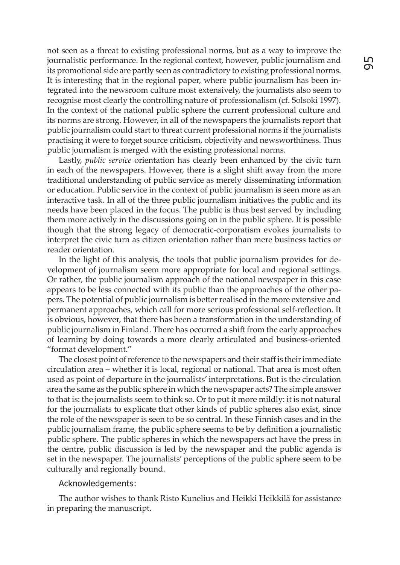not seen as a threat to existing professional norms, but as a way to improve the journalistic performance. In the regional context, however, public journalism and its promotional side are partly seen as contradictory to existing professional norms. It is interesting that in the regional paper, where public journalism has been integrated into the newsroom culture most extensively, the journalists also seem to recognise most clearly the controlling nature of professionalism (cf. Solsoki 1997). In the context of the national public sphere the current professional culture and its norms are strong. However, in all of the newspapers the journalists report that public journalism could start to threat current professional norms if the journalists practising it were to forget source criticism, objectivity and newsworthiness. Thus public journalism is merged with the existing professional norms.

Lastly, *public service* orientation has clearly been enhanced by the civic turn in each of the newspapers. However, there is a slight shift away from the more traditional understanding of public service as merely disseminating information or education. Public service in the context of public journalism is seen more as an interactive task. In all of the three public journalism initiatives the public and its needs have been placed in the focus. The public is thus best served by including them more actively in the discussions going on in the public sphere. It is possible though that the strong legacy of democratic-corporatism evokes journalists to interpret the civic turn as citizen orientation rather than mere business tactics or reader orientation.

In the light of this analysis, the tools that public journalism provides for development of journalism seem more appropriate for local and regional settings. Or rather, the public journalism approach of the national newspaper in this case appears to be less connected with its public than the approaches of the other papers. The potential of public journalism is better realised in the more extensive and permanent approaches, which call for more serious professional self-reflection. It is obvious, however, that there has been a transformation in the understanding of public journalism in Finland. There has occurred a shift from the early approaches of learning by doing towards a more clearly articulated and business-oriented "format development."

The closest point of reference to the newspapers and their staff is their immediate circulation area – whether it is local, regional or national. That area is most often used as point of departure in the journalists' interpretations. But is the circulation area the same as the public sphere in which the newspaper acts? The simple answer to that is: the journalists seem to think so. Or to put it more mildly: it is not natural for the journalists to explicate that other kinds of public spheres also exist, since the role of the newspaper is seen to be so central. In these Finnish cases and in the public journalism frame, the public sphere seems to be by definition a journalistic public sphere. The public spheres in which the newspapers act have the press in the centre, public discussion is led by the newspaper and the public agenda is set in the newspaper. The journalists' perceptions of the public sphere seem to be culturally and regionally bound.

#### Acknowledgements:

The author wishes to thank Risto Kunelius and Heikki Heikkilä for assistance in preparing the manuscript.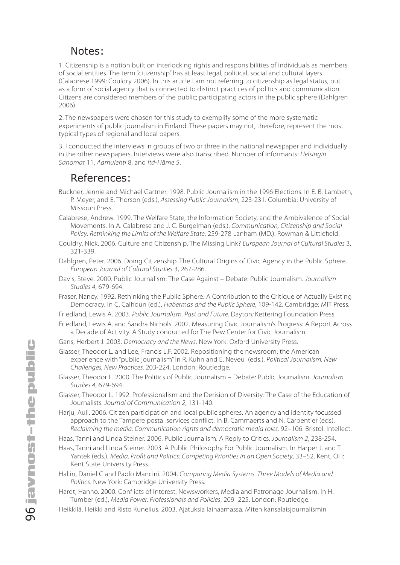## Notes:

1. Citizenship is a notion built on interlocking rights and responsibilities of individuals as members of social entities. The term "citizenship" has at least legal, political, social and cultural layers (Calabrese 1999; Couldry 2006). In this article I am not referring to citizenship as legal status, but as a form of social agency that is connected to distinct practices of politics and communication. Citizens are considered members of the public; participating actors in the public sphere (Dahlgren 2006).

2. The newspapers were chosen for this study to exemplify some of the more systematic experiments of public journalism in Finland. These papers may not, therefore, represent the most typical types of regional and local papers.

3. I conducted the interviews in groups of two or three in the national newspaper and individually in the other newspapers. Interviews were also transcribed. Number of informants: *Helsingin Sanomat* 11, *Aamulehti* 8, and *Itä-Häme* 5.

### References:

- Buckner, Jennie and Michael Gartner. 1998. Public Journalism in the 1996 Elections. In E. B. Lambeth, P. Meyer, and E. Thorson (eds.), *Assessing Public Journalism*, 223-231. Columbia: University of Missouri Press.
- Calabrese, Andrew. 1999. The Welfare State, the Information Society, and the Ambivalence of Social Movements. In A. Calabrese and J. C. Burgelman (eds.), *Communication, Citizenship and Social Policy: Rethinking the Limits of the Welfare State*, 259-278 Lanham (MD.): Rowman & Littlefield.
- Couldry, Nick. 2006. Culture and Citizenship. The Missing Link? *European Journal of Cultural Studies* 3, 321-339.
- Dahlgren, Peter. 2006. Doing Citizenship. The Cultural Origins of Civic Agency in the Public Sphere. *European Journal of Cultural Studies* 3, 267-286.
- Davis, Steve. 2000. Public Journalism: The Case Against Debate: Public Journalism. *Journalism Studies 4*, 679-694.
- Fraser, Nancy. 1992. Rethinking the Public Sphere: A Contribution to the Critique of Actually Existing Democracy. In C. Calhoun (ed.), *Habermas and the Public Sphere*, 109-142. Cambridge: MIT Press.
- Friedland, Lewis A. 2003. *Public Journalism. Past and Future.* Dayton*:* Kettering Foundation Press.
- Friedland, Lewis A. and Sandra Nichols. 2002. Measuring Civic Journalism's Progress: A Report Across a Decade of Activity. A Study conducted for The Pew Center for Civic Journalism.
- Gans, Herbert J. 2003. *Democracy and the News*. New York: Oxford University Press.
- Glasser, Theodor L. and Lee, Francis L.F. 2002. Repositioning the newsroom: the American experience with "public journalism" in R. Kuhn and E. Neveu (eds.), *Political Journalism. New Challenges, New Practices,* 203-224. London: Routledge.
- Glasser, Theodor L. 2000. The Politics of Public Journalism Debate: Public Journalism. *Journalism Studies 4*, 679-694.
- Glasser, Theodor L. 1992. Professionalism and the Derision of Diversity. The Case of the Education of Journalists. *Journal of Communication 2*, 131-140.
- Harju, Auli. 2006. Citizen participation and local public spheres. An agency and identity focussed approach to the Tampere postal services conflict. In B. Cammaerts and N. Carpentier (eds), *Reclaiming the media. Communication rights and democratic media roles,* 92–106. Bristol: Intellect.

Haas, Tanni and Linda Steiner. 2006. Public Journalism. A Reply to Critics. *Journalism 2*, 238-254.

- Haas, Tanni and Linda Steiner. 2003. A Public Philosophy For Public Journalism. In Harper J. and T. Yantek (eds.), *Media, Profit and Politics: Competing Priorities in an Open Society*, 33–52. Kent, OH: Kent State University Press.
- Hallin, Daniel C and Paolo Mancini. 2004. *Comparing Media Systems. Three Models of Media and Politics*. New York: Cambridge University Press.
- Hardt, Hanno. 2000. Conflicts of Interest. Newsworkers, Media and Patronage Journalism. In H. Tumber (ed.), *Media Power, Professionals and Policies*, 209–225. London: Routledge.
- Heikkilä, Heikki and Risto Kunelius. 2003. Ajatuksia lainaamassa. Miten kansalaisjournalismin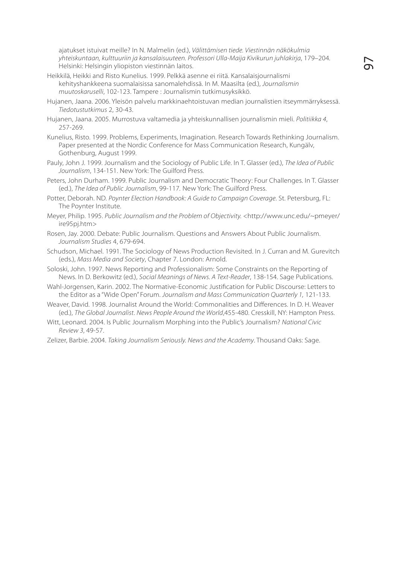ajatukset istuivat meille? In N. Malmelin (ed.), *Välittämisen tiede. Viestinnän näkökulmia yhteiskuntaan, kulttuuriin ja kansalaisuuteen. Professori Ulla-Maija Kivikurun juhlakirja*, 179–204*.* Helsinki: Helsingin yliopiston viestinnän laitos.

- Heikkilä, Heikki and Risto Kunelius. 1999. Pelkkä asenne ei riitä. Kansalaisjournalismi kehityshankkeena suomalaisissa sanomalehdissä. In M. Maasilta (ed.), *Journalismin muutoskaruselli*, 102-123. Tampere : Journalismin tutkimusyksikkö.
- Hujanen, Jaana. 2006. Yleisön palvelu markkinaehtoistuvan median journalistien itseymmärryksessä. *Tiedotustutkimus* 2, 30-43.
- Hujanen, Jaana. 2005. Murrostuva valtamedia ja yhteiskunnallisen journalismin mieli. *Politiikka 4*, 257-269.
- Kunelius, Risto. 1999. Problems, Experiments, Imagination. Research Towards Rethinking Journalism. Paper presented at the Nordic Conference for Mass Communication Research, Kungälv, Gothenburg, August 1999.
- Pauly, John J. 1999. Journalism and the Sociology of Public Life. In T. Glasser (ed.), *The Idea of Public Journalism*, 134-151. New York: The Guilford Press.
- Peters, John Durham. 1999. Public Journalism and Democratic Theory: Four Challenges. In T. Glasser (ed.), *The Idea of Public Journalism*, 99-117*.* New York: The Guilford Press.
- Potter, Deborah. ND. *Poynter Election Handbook: A Guide to Campaign Coverage*. St. Petersburg, FL: The Poynter Institute.
- Meyer, Philip. 1995. *Public Journalism and the Problem of Objectivity. <*http://www.unc.edu/~pmeyer/ ire95pj.htm>
- Rosen, Jay. 2000. Debate: Public Journalism. Questions and Answers About Public Journalism. *Journalism Studies* 4, 679-694.
- Schudson, Michael. 1991. The Sociology of News Production Revisited. In J. Curran and M. Gurevitch (eds.), *Mass Media and Society*, Chapter 7. London: Arnold.
- Soloski, John. 1997. News Reporting and Professionalism: Some Constraints on the Reporting of News. In D. Berkowitz (ed.), *Social Meanings of News. A Text-Reader*, 138-154. Sage Publications.
- Wahl-Jorgensen, Karin. 2002. The Normative-Economic Justification for Public Discourse: Letters to the Editor as a "Wide Open" Forum. *Journalism and Mass Communication Quarterly 1,* 121-133.
- Weaver, David. 1998. Journalist Around the World: Commonalities and Differences. In D. H. Weaver (ed.), *The Global Journalist*. *News People Around the World*,455-480. Cresskill, NY: Hampton Press.
- Witt, Leonard. 2004. Is Public Journalism Morphing into the Public's Journalism? *National Civic Review 3*, 49-57.
- Zelizer, Barbie. 2004. *Taking Journalism Seriously. News and the Academy*. Thousand Oaks: Sage.